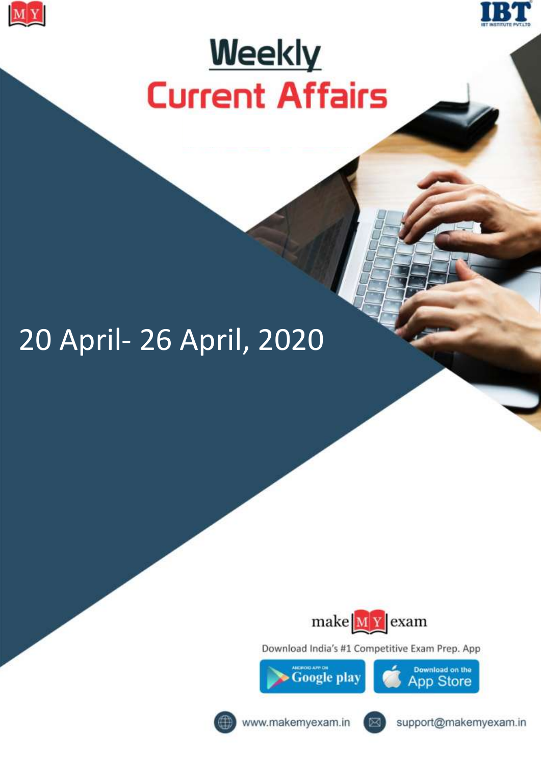



# **Weekly Current Affairs**

## 20 April- 26 April, 2020



Download India's #1 Competitive Exam Prep. App



Download on the **App Store** 



www.makemyexam.in



support@makemyexam.in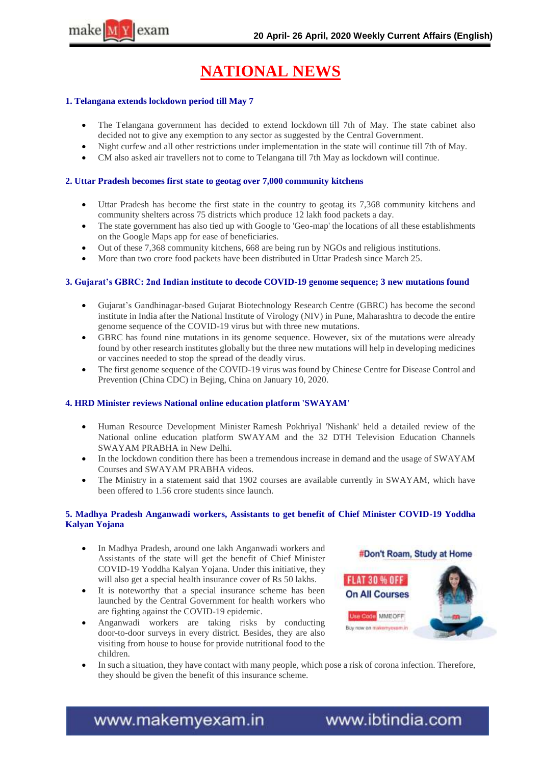

## **NATIONAL NEWS**

#### **1. Telangana extends lockdown period till May 7**

- The Telangana government has decided to extend lockdown till 7th of May. The state cabinet also decided not to give any exemption to any sector as suggested by the Central Government.
- Night curfew and all other restrictions under implementation in the state will continue till 7th of May.
- CM also asked air travellers not to come to Telangana till 7th May as lockdown will continue.

#### **2. Uttar Pradesh becomes first state to geotag over 7,000 community kitchens**

- Uttar Pradesh has become the first state in the country to geotag its 7,368 community kitchens and community shelters across 75 districts which produce 12 lakh food packets a day.
- The state government has also tied up with Google to 'Geo-map' the locations of all these establishments on the Google Maps app for ease of beneficiaries.
- Out of these 7,368 community kitchens, 668 are being run by NGOs and religious institutions.
- More than two crore food packets have been distributed in Uttar Pradesh since March 25.

#### **3. Gujarat"s GBRC: 2nd Indian institute to decode COVID-19 genome sequence; 3 new mutations found**

- Gujarat"s Gandhinagar-based Gujarat Biotechnology Research Centre (GBRC) has become the second institute in India after the National Institute of Virology (NIV) in Pune, Maharashtra to decode the entire genome sequence of the COVID-19 virus but with three new mutations.
- GBRC has found nine mutations in its genome sequence. However, six of the mutations were already found by other research institutes globally but the three new mutations will help in developing medicines or vaccines needed to stop the spread of the deadly virus.
- The first genome sequence of the COVID-19 virus was found by Chinese Centre for Disease Control and Prevention (China CDC) in Bejing, China on January 10, 2020.

#### **4. HRD Minister reviews National online education platform 'SWAYAM'**

- Human Resource Development Minister Ramesh Pokhriyal 'Nishank' held a detailed review of the National online education platform SWAYAM and the 32 DTH Television Education Channels SWAYAM PRABHA in New Delhi.
- In the lockdown condition there has been a tremendous increase in demand and the usage of SWAYAM Courses and SWAYAM PRABHA videos.
- The Ministry in a statement said that 1902 courses are available currently in SWAYAM, which have been offered to 1.56 crore students since launch.

#### **5. Madhya Pradesh Anganwadi workers, Assistants to get benefit of Chief Minister COVID-19 Yoddha Kalyan Yojana**

- In Madhya Pradesh, around one lakh Anganwadi workers and Assistants of the state will get the benefit of Chief Minister COVID-19 Yoddha Kalyan Yojana. Under this initiative, they will also get a special health insurance cover of Rs 50 lakhs.
- It is noteworthy that a special insurance scheme has been launched by the Central Government for health workers who are fighting against the COVID-19 epidemic.
- Anganwadi workers are taking risks by conducting door-to-door surveys in every district. Besides, they are also visiting from house to house for provide nutritional food to the children.



 In such a situation, they have contact with many people, which pose a risk of corona infection. Therefore, they should be given the benefit of this insurance scheme.

www.makemyexam.in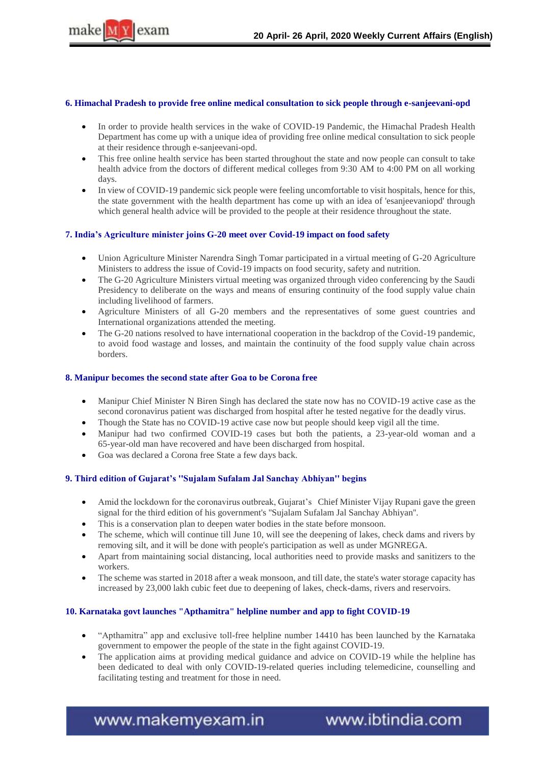

#### **6. Himachal Pradesh to provide free online medical consultation to sick people through e-sanjeevani-opd**

- In order to provide health services in the wake of COVID-19 Pandemic, the Himachal Pradesh Health Department has come up with a unique idea of providing free online medical consultation to sick people at their residence through e-sanjeevani-opd.
- This free online health service has been started throughout the state and now people can consult to take health advice from the doctors of different medical colleges from 9:30 AM to 4:00 PM on all working days.
- In view of COVID-19 pandemic sick people were feeling uncomfortable to visit hospitals, hence for this, the state government with the health department has come up with an idea of 'esanjeevaniopd' through which general health advice will be provided to the people at their residence throughout the state.

#### **7. India"s Agriculture minister joins G-20 meet over Covid-19 impact on food safety**

- Union Agriculture Minister Narendra Singh Tomar participated in a virtual meeting of G-20 Agriculture Ministers to address the issue of Covid-19 impacts on food security, safety and nutrition.
- The G-20 Agriculture Ministers virtual meeting was organized through video conferencing by the Saudi Presidency to deliberate on the ways and means of ensuring continuity of the food supply value chain including livelihood of farmers.
- Agriculture Ministers of all G-20 members and the representatives of some guest countries and International organizations attended the meeting.
- The G-20 nations resolved to have international cooperation in the backdrop of the Covid-19 pandemic, to avoid food wastage and losses, and maintain the continuity of the food supply value chain across borders.

#### **8. Manipur becomes the second state after Goa to be Corona free**

- Manipur Chief Minister N Biren Singh has declared the state now has no COVID-19 active case as the second coronavirus patient was discharged from hospital after he tested negative for the deadly virus.
- Though the State has no COVID-19 active case now but people should keep vigil all the time.
- Manipur had two confirmed COVID-19 cases but both the patients, a 23-year-old woman and a 65-year-old man have recovered and have been discharged from hospital.
- Goa was declared a Corona free State a few days back.

#### **9. Third edition of Gujarat"s ''Sujalam Sufalam Jal Sanchay Abhiyan'' begins**

- Amid the lockdown for the coronavirus outbreak, Gujarat"s Chief Minister Vijay Rupani gave the green signal for the third edition of his government's ''Sujalam Sufalam Jal Sanchay Abhiyan''.
- This is a conservation plan to deepen water bodies in the state before monsoon.
- The scheme, which will continue till June 10, will see the deepening of lakes, check dams and rivers by removing silt, and it will be done with people's participation as well as under MGNREGA.
- Apart from maintaining social distancing, local authorities need to provide masks and sanitizers to the workers.
- The scheme was started in 2018 after a weak monsoon, and till date, the state's water storage capacity has increased by 23,000 lakh cubic feet due to deepening of lakes, check-dams, rivers and reservoirs.

#### **10. Karnataka govt launches "Apthamitra" helpline number and app to fight COVID-19**

- "Apthamitra" app and exclusive toll-free helpline number 14410 has been launched by the Karnataka government to empower the people of the state in the fight against COVID-19.
- The application aims at providing medical guidance and advice on COVID-19 while the helpline has been dedicated to deal with only COVID-19-related queries including telemedicine, counselling and facilitating testing and treatment for those in need.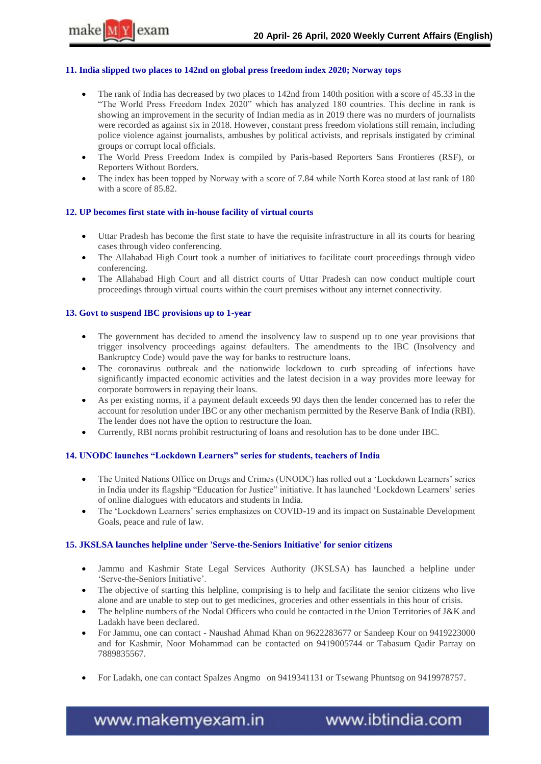

#### **11. India slipped two places to 142nd on global press freedom index 2020; Norway tops**

- The rank of India has decreased by two places to 142nd from 140th position with a score of 45.33 in the "The World Press Freedom Index 2020" which has analyzed 180 countries. This decline in rank is showing an improvement in the security of Indian media as in 2019 there was no murders of journalists were recorded as against six in 2018. However, constant press freedom violations still remain, including police violence against journalists, ambushes by political activists, and reprisals instigated by criminal groups or corrupt local officials.
- The World Press Freedom Index is compiled by Paris-based Reporters Sans Frontieres (RSF), or Reporters Without Borders.
- The index has been topped by Norway with a score of 7.84 while North Korea stood at last rank of 180 with a score of 85.82.

#### **12. UP becomes first state with in-house facility of virtual courts**

- Uttar Pradesh has become the first state to have the requisite infrastructure in all its courts for hearing cases through video conferencing.
- The Allahabad High Court took a number of initiatives to facilitate court proceedings through video conferencing.
- The Allahabad High Court and all district courts of Uttar Pradesh can now conduct multiple court proceedings through virtual courts within the court premises without any internet connectivity.

#### **13. Govt to suspend IBC provisions up to 1-year**

- The government has decided to amend the insolvency law to suspend up to one year provisions that trigger insolvency proceedings against defaulters. The amendments to the IBC (Insolvency and Bankruptcy Code) would pave the way for banks to restructure loans.
- The coronavirus outbreak and the nationwide lockdown to curb spreading of infections have significantly impacted economic activities and the latest decision in a way provides more leeway for corporate borrowers in repaying their loans.
- As per existing norms, if a payment default exceeds 90 days then the lender concerned has to refer the account for resolution under IBC or any other mechanism permitted by the Reserve Bank of India (RBI). The lender does not have the option to restructure the loan.
- Currently, RBI norms prohibit restructuring of loans and resolution has to be done under IBC.

#### **14. UNODC launches "Lockdown Learners" series for students, teachers of India**

- The United Nations Office on Drugs and Crimes (UNODC) has rolled out a 'Lockdown Learners' series in India under its flagship "Education for Justice" initiative. It has launched "Lockdown Learners" series of online dialogues with educators and students in India.
- The 'Lockdown Learners' series emphasizes on COVID-19 and its impact on Sustainable Development Goals, peace and rule of law.

#### **15. JKSLSA launches helpline under 'Serve-the-Seniors Initiative' for senior citizens**

- Jammu and Kashmir State Legal Services Authority (JKSLSA) has launched a helpline under 'Serve-the-Seniors Initiative'.
- The objective of starting this helpline, comprising is to help and facilitate the senior citizens who live alone and are unable to step out to get medicines, groceries and other essentials in this hour of crisis.
- The helpline numbers of the Nodal Officers who could be contacted in the Union Territories of J&K and Ladakh have been declared.
- For Jammu, one can contact Naushad Ahmad Khan on 9622283677 or Sandeep Kour on 9419223000 and for Kashmir, Noor Mohammad can be contacted on 9419005744 or Tabasum Qadir Parray on 7889835567.
- For Ladakh, one can contact Spalzes Angmo on 9419341131 or Tsewang Phuntsog on 9419978757.

www.makemyexam.in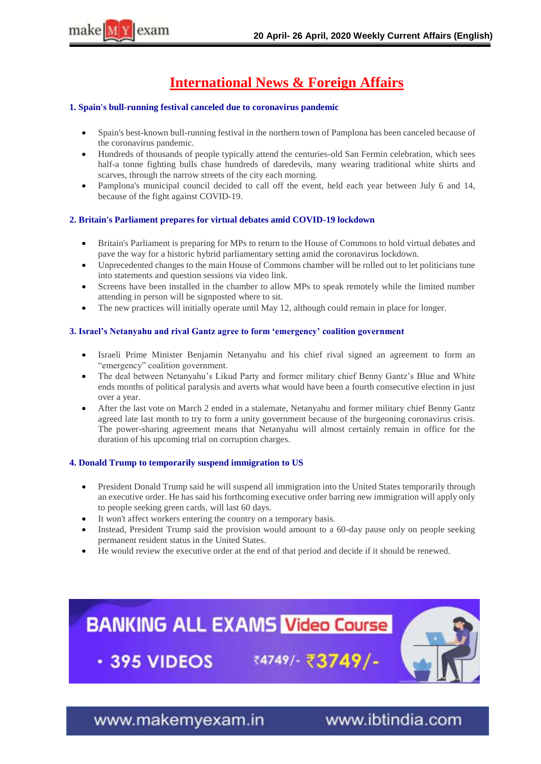

## **International News & Foreign Affairs**

#### **1. Spain's bull-running festival canceled due to coronavirus pandemic**

- Spain's best-known bull-running festival in the northern town of Pamplona has been canceled because of the coronavirus pandemic.
- Hundreds of thousands of people typically attend the centuries-old San Fermin celebration, which sees half-a tonne fighting bulls chase hundreds of daredevils, many wearing traditional white shirts and scarves, through the narrow streets of the city each morning.
- Pamplona's municipal council decided to call off the event, held each year between July 6 and 14, because of the fight against COVID-19.

#### **2. Britain's Parliament prepares for virtual debates amid COVID-19 lockdown**

- Britain's Parliament is preparing for MPs to return to the House of Commons to hold virtual debates and pave the way for a historic hybrid parliamentary setting amid the coronavirus lockdown.
- Unprecedented changes to the main House of Commons chamber will be rolled out to let politicians tune into statements and question sessions via video link.
- Screens have been installed in the chamber to allow MPs to speak remotely while the limited number attending in person will be signposted where to sit.
- The new practices will initially operate until May 12, although could remain in place for longer.

#### **3. Israel"s Netanyahu and rival Gantz agree to form "emergency" coalition government**

- Israeli Prime Minister Benjamin Netanyahu and his chief rival signed an agreement to form an "emergency" coalition government.
- The deal between Netanyahu's Likud Party and former military chief Benny Gantz's Blue and White ends months of political paralysis and averts what would have been a fourth consecutive election in just over a year.
- After the last vote on March 2 ended in a stalemate, Netanyahu and former military chief Benny Gantz agreed late last month to try to form a unity government because of the burgeoning coronavirus crisis. The power-sharing agreement means that Netanyahu will almost certainly remain in office for the duration of his upcoming trial on corruption charges.

#### **4. Donald Trump to temporarily suspend immigration to US**

- President Donald Trump said he will suspend all immigration into the United States temporarily through an executive order. He has said his forthcoming executive order barring new immigration will apply only to people seeking green cards, will last 60 days.
- It won't affect workers entering the country on a temporary basis.
- Instead, President Trump said the provision would amount to a 60-day pause only on people seeking permanent resident status in the United States.
- He would review the executive order at the end of that period and decide if it should be renewed.



www.makemyexam.in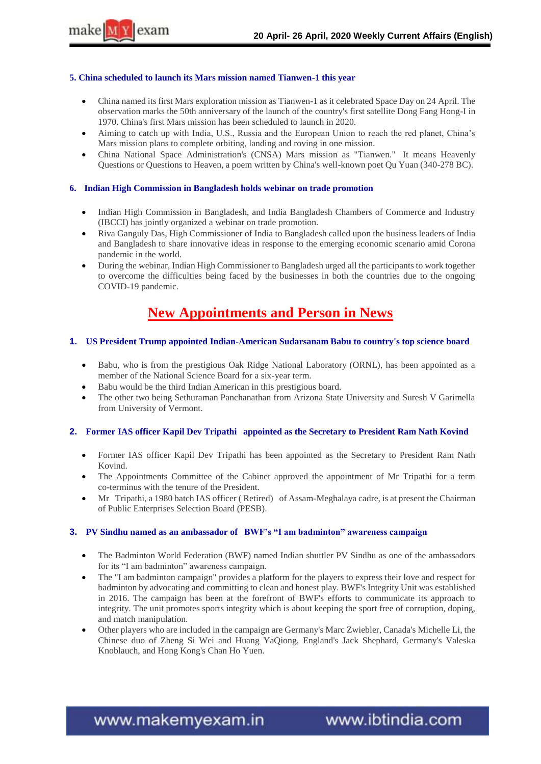#### **5. China scheduled to launch its Mars mission named Tianwen-1 this year**

- China named its first Mars exploration mission as Tianwen-1 as it celebrated Space Day on 24 April. The observation marks the 50th anniversary of the launch of the country's first satellite Dong Fang Hong-I in 1970. China's first Mars mission has been scheduled to launch in 2020.
- Aiming to catch up with India, U.S., Russia and the European Union to reach the red planet, China"s Mars mission plans to complete orbiting, landing and roving in one mission.
- China National Space Administration's (CNSA) Mars mission as "Tianwen." It means Heavenly Questions or Questions to Heaven, a poem written by China's well-known poet Qu Yuan (340-278 BC).

#### **6. Indian High Commission in Bangladesh holds webinar on trade promotion**

- Indian High Commission in Bangladesh, and India Bangladesh Chambers of Commerce and Industry (IBCCI) has jointly organized a webinar on trade promotion.
- Riva Ganguly Das, High Commissioner of India to Bangladesh called upon the business leaders of India and Bangladesh to share innovative ideas in response to the emerging economic scenario amid Corona pandemic in the world.
- During the webinar, Indian High Commissioner to Bangladesh urged all the participants to work together to overcome the difficulties being faced by the businesses in both the countries due to the ongoing COVID-19 pandemic.

### **New Appointments and Person in News**

#### **1. US President Trump appointed Indian-American Sudarsanam Babu to country's top science board**

- Babu, who is from the prestigious Oak Ridge National Laboratory (ORNL), has been appointed as a member of the National Science Board for a six-year term.
- Babu would be the third Indian American in this prestigious board.
- The other two being Sethuraman Panchanathan from Arizona State University and Suresh V Garimella from University of Vermont.

#### **2. Former IAS officer Kapil Dev Tripathi appointed as the Secretary to President Ram Nath Kovind**

- Former IAS officer Kapil Dev Tripathi has been appointed as the Secretary to President Ram Nath Kovind.
- The Appointments Committee of the Cabinet approved the appointment of Mr Tripathi for a term co-terminus with the tenure of the President.
- Mr Tripathi, a 1980 batch IAS officer ( Retired) of Assam-Meghalaya cadre, is at present the Chairman of Public Enterprises Selection Board (PESB).

#### **3. PV Sindhu named as an ambassador of BWF"s "I am badminton" awareness campaign**

- The Badminton World Federation (BWF) named Indian shuttler PV Sindhu as one of the ambassadors for its "I am badminton" awareness campaign.
- The "I am badminton campaign" provides a platform for the players to express their love and respect for badminton by advocating and committing to clean and honest play. BWF's Integrity Unit was established in 2016. The campaign has been at the forefront of BWF's efforts to communicate its approach to integrity. The unit promotes sports integrity which is about keeping the sport free of corruption, doping, and match manipulation.
- Other players who are included in the campaign are Germany's Marc Zwiebler, Canada's Michelle Li, the Chinese duo of Zheng Si Wei and Huang YaQiong, England's Jack Shephard, Germany's Valeska Knoblauch, and Hong Kong's Chan Ho Yuen.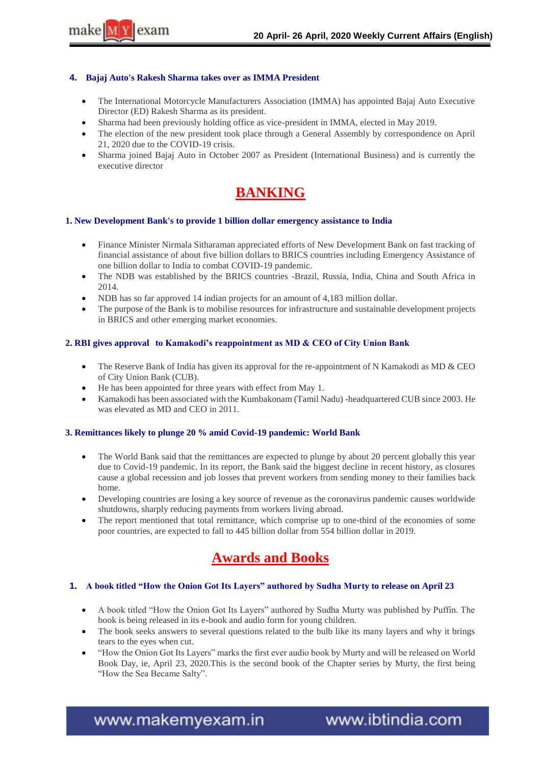

#### **4. Bajaj Auto's Rakesh Sharma takes over as IMMA President**

- The International Motorcycle Manufacturers Association (IMMA) has appointed Bajaj Auto Executive Director (ED) Rakesh Sharma as its president.
- Sharma had been previously holding office as vice-president in IMMA, elected in May 2019.
- The election of the new president took place through a General Assembly by correspondence on April 21, 2020 due to the COVID-19 crisis.
- Sharma joined Bajaj Auto in October 2007 as President (International Business) and is currently the executive director

## **BANKING**

#### **1. New Development Bank's to provide 1 billion dollar emergency assistance to India**

- Finance Minister Nirmala Sitharaman appreciated efforts of New Development Bank on fast tracking of financial assistance of about five billion dollars to BRICS countries including Emergency Assistance of one billion dollar to India to combat COVID-19 pandemic.
- The NDB was established by the BRICS countries -Brazil, Russia, India, China and South Africa in 2014.
- NDB has so far approved 14 indian projects for an amount of 4,183 million dollar.
- The purpose of the Bank is to mobilise resources for infrastructure and sustainable development projects in BRICS and other emerging market economies.

#### **2. RBI gives approval to Kamakodi"s reappointment as MD & CEO of City Union Bank**

- The Reserve Bank of India has given its approval for the re-appointment of N Kamakodi as MD & CEO of City Union Bank (CUB).
- He has been appointed for three years with effect from May 1.
- Kamakodi has been associated with the Kumbakonam (Tamil Nadu) -headquartered CUB since 2003. He was elevated as MD and CEO in 2011.

#### **3. Remittances likely to plunge 20 % amid Covid-19 pandemic: World Bank**

- The World Bank said that the remittances are expected to plunge by about 20 percent globally this year due to Covid-19 pandemic. In its report, the Bank said the biggest decline in recent history, as closures cause a global recession and job losses that prevent workers from sending money to their families back home.
- Developing countries are losing a key source of revenue as the coronavirus pandemic causes worldwide shutdowns, sharply reducing payments from workers living abroad.
- The report mentioned that total remittance, which comprise up to one-third of the economies of some poor countries, are expected to fall to 445 billion dollar from 554 billion dollar in 2019.

### **Awards and Books**

#### **1. A book titled "How the Onion Got Its Layers" authored by Sudha Murty to release on April 23**

- A book titled "How the Onion Got Its Layers" authored by Sudha Murty was published by Puffin. The book is being released in its e-book and audio form for young children.
- The book seeks answers to several questions related to the bulb like its many layers and why it brings tears to the eyes when cut.
- "How the Onion Got Its Layers" marks the first ever audio book by Murty and will be released on World Book Day, ie, April 23, 2020.This is the second book of the Chapter series by Murty, the first being "How the Sea Became Salty".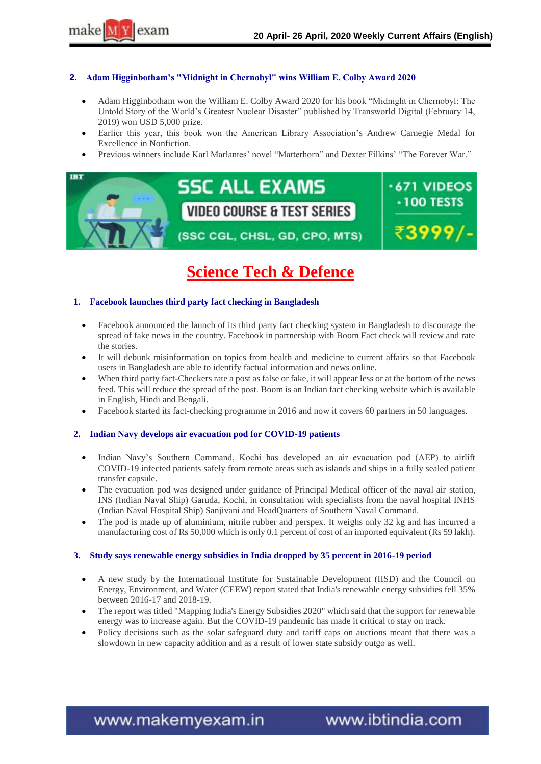

#### **2. Adam Higginbotham"s "Midnight in Chernobyl" wins William E. Colby Award 2020**

- Adam Higginbotham won the William E. Colby Award 2020 for his book "Midnight in Chernobyl: The Untold Story of the World"s Greatest Nuclear Disaster" published by Transworld Digital (February 14, 2019) won USD 5,000 prize.
- Earlier this year, this book won the American Library Association"s Andrew Carnegie Medal for Excellence in Nonfiction.
- Previous winners include Karl Marlantes" novel "Matterhorn" and Dexter Filkins" "The Forever War."



## **Science Tech & Defence**

#### **1. Facebook launches third party fact checking in Bangladesh**

- Facebook announced the launch of its third party fact checking system in Bangladesh to discourage the spread of fake news in the country. Facebook in partnership with Boom Fact check will review and rate the stories.
- It will debunk misinformation on topics from health and medicine to current affairs so that Facebook users in Bangladesh are able to identify factual information and news online.
- When third party fact-Checkers rate a post as false or fake, it will appear less or at the bottom of the news feed. This will reduce the spread of the post. Boom is an Indian fact checking website which is available in English, Hindi and Bengali.
- Facebook started its fact-checking programme in 2016 and now it covers 60 partners in 50 languages.

#### **2. Indian Navy develops air evacuation pod for COVID-19 patients**

- Indian Navy"s Southern Command, Kochi has developed an air evacuation pod (AEP) to airlift COVID-19 infected patients safely from remote areas such as islands and ships in a fully sealed patient transfer capsule.
- The evacuation pod was designed under guidance of Principal Medical officer of the naval air station, INS (Indian Naval Ship) Garuda, Kochi, in consultation with specialists from the naval hospital INHS (Indian Naval Hospital Ship) Sanjivani and HeadQuarters of Southern Naval Command.
- The pod is made up of aluminium, nitrile rubber and perspex. It weighs only 32 kg and has incurred a manufacturing cost of Rs 50,000 which is only 0.1 percent of cost of an imported equivalent (Rs 59 lakh).

#### **3. Study says renewable energy subsidies in India dropped by 35 percent in 2016-19 period**

- A new study by the International Institute for Sustainable Development (IISD) and the Council on Energy, Environment, and Water (CEEW) report stated that India's renewable energy subsidies fell 35% between 2016-17 and 2018-19.
- The report was titled "Mapping India's Energy Subsidies 2020" which said that the support for renewable energy was to increase again. But the COVID-19 pandemic has made it critical to stay on track.
- Policy decisions such as the solar safeguard duty and tariff caps on auctions meant that there was a slowdown in new capacity addition and as a result of lower state subsidy outgo as well.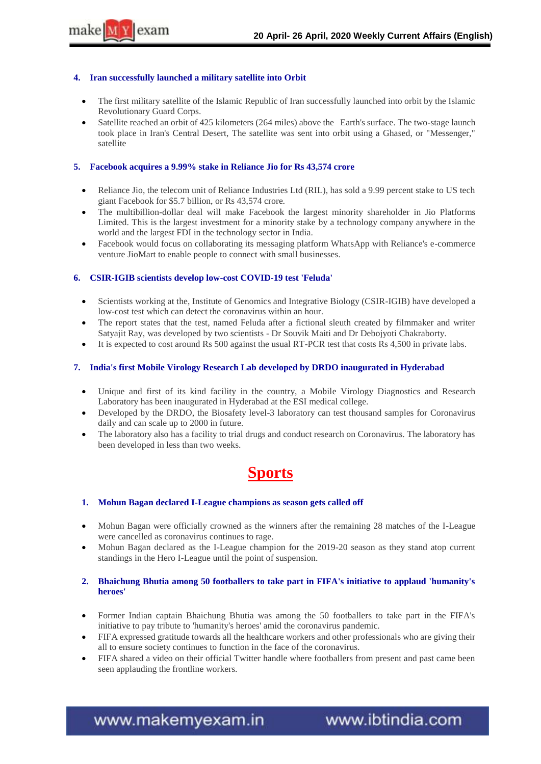#### **4. Iran successfully launched a military satellite into Orbit**

- The first military satellite of the Islamic Republic of Iran successfully launched into orbit by the Islamic Revolutionary Guard Corps.
- Satellite reached an orbit of 425 kilometers (264 miles) above the Earth's surface. The two-stage launch took place in Iran's Central Desert, The satellite was sent into orbit using a Ghased, or "Messenger," satellite

#### **5. Facebook acquires a 9.99% stake in Reliance Jio for Rs 43,574 crore**

- Reliance Jio, the telecom unit of Reliance Industries Ltd (RIL), has sold a 9.99 percent stake to US tech giant Facebook for \$5.7 billion, or Rs 43,574 crore.
- The multibillion-dollar deal will make Facebook the largest minority shareholder in Jio Platforms Limited. This is the largest investment for a minority stake by a technology company anywhere in the world and the largest FDI in the technology sector in India.
- Facebook would focus on collaborating its messaging platform WhatsApp with Reliance's e-commerce venture JioMart to enable people to connect with small businesses.

#### **6. CSIR-IGIB scientists develop low-cost COVID-19 test 'Feluda'**

- Scientists working at the, Institute of Genomics and Integrative Biology (CSIR-IGIB) have developed a low-cost test which can detect the coronavirus within an hour.
- The report states that the test, named Feluda after a fictional sleuth created by filmmaker and writer Satyajit Ray, was developed by two scientists - Dr Souvik Maiti and Dr Debojyoti Chakraborty.
- It is expected to cost around Rs 500 against the usual RT-PCR test that costs Rs 4,500 in private labs.

#### **7. India's first Mobile Virology Research Lab developed by DRDO inaugurated in Hyderabad**

- Unique and first of its kind facility in the country, a Mobile Virology Diagnostics and Research Laboratory has been inaugurated in Hyderabad at the ESI medical college.
- Developed by the DRDO, the Biosafety level-3 laboratory can test thousand samples for Coronavirus daily and can scale up to 2000 in future.
- The laboratory also has a facility to trial drugs and conduct research on Coronavirus. The laboratory has been developed in less than two weeks.

## **Sports**

#### **1. Mohun Bagan declared I-League champions as season gets called off**

- Mohun Bagan were officially crowned as the winners after the remaining 28 matches of the I-League were cancelled as coronavirus continues to rage.
- Mohun Bagan declared as the I-League champion for the 2019-20 season as they stand atop current standings in the Hero I-League until the point of suspension.

#### **2. Bhaichung Bhutia among 50 footballers to take part in FIFA's initiative to applaud 'humanity's heroes'**

- Former Indian captain Bhaichung Bhutia was among the 50 footballers to take part in the FIFA's initiative to pay tribute to 'humanity's heroes' amid the coronavirus pandemic.
- FIFA expressed gratitude towards all the healthcare workers and other professionals who are giving their all to ensure society continues to function in the face of the coronavirus.
- FIFA shared a video on their official Twitter handle where footballers from present and past came been seen applauding the frontline workers.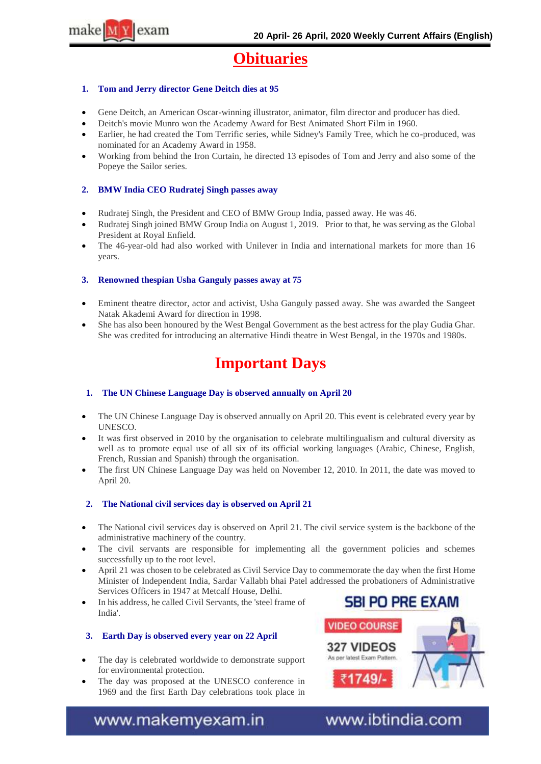

## **Obituaries**

#### **1. Tom and Jerry director Gene Deitch dies at 95**

- Gene Deitch, an American Oscar-winning illustrator, animator, film director and producer has died.
- Deitch's movie Munro won the Academy Award for Best Animated Short Film in 1960.
- Earlier, he had created the Tom Terrific series, while Sidney's Family Tree, which he co-produced, was nominated for an Academy Award in 1958.
- Working from behind the Iron Curtain, he directed 13 episodes of Tom and Jerry and also some of the Popeye the Sailor series.

#### **2. BMW India CEO Rudratej Singh passes away**

- Rudratej Singh, the President and CEO of BMW Group India, passed away. He was 46.
- Rudratej Singh joined BMW Group India on August 1, 2019. Prior to that, he was serving as the Global President at Royal Enfield.
- The 46-year-old had also worked with Unilever in India and international markets for more than 16 years.

#### **3. Renowned thespian Usha Ganguly passes away at 75**

- Eminent theatre director, actor and activist, Usha Ganguly passed away. She was awarded the Sangeet Natak Akademi Award for direction in 1998.
- She has also been honoured by the West Bengal Government as the best actress for the play Gudia Ghar. She was credited for introducing an alternative Hindi theatre in West Bengal, in the 1970s and 1980s.

## **Important Days**

#### **1. The UN Chinese Language Day is observed annually on April 20**

- The UN Chinese Language Day is observed annually on April 20. This event is celebrated every year by UNESCO.
- It was first observed in 2010 by the organisation to celebrate multilingualism and cultural diversity as well as to promote equal use of all six of its official working languages (Arabic, Chinese, English, French, Russian and Spanish) through the organisation.
- The first UN Chinese Language Day was held on November 12, 2010. In 2011, the date was moved to April 20.

#### **2. The National civil services day is observed on April 21**

- The National civil services day is observed on April 21. The civil service system is the backbone of the administrative machinery of the country.
- The civil servants are responsible for implementing all the government policies and schemes successfully up to the root level.
- April 21 was chosen to be celebrated as Civil Service Day to commemorate the day when the first Home Minister of Independent India, Sardar Vallabh bhai Patel addressed the probationers of Administrative Services Officers in 1947 at Metcalf House, Delhi.
- In his address, he called Civil Servants, the 'steel frame of India'.

#### **3. Earth Day is observed every year on 22 April**

- The day is celebrated worldwide to demonstrate support for environmental protection.
- The day was proposed at the UNESCO conference in 1969 and the first Earth Day celebrations took place in



www.makemyexam.in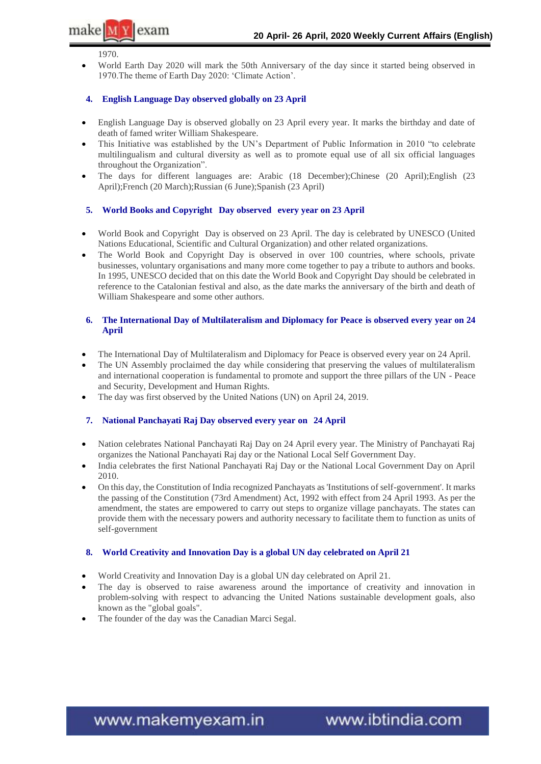1970.

 $\mathsf{l}$ exam

make MY

 World Earth Day 2020 will mark the 50th Anniversary of the day since it started being observed in 1970.The theme of Earth Day 2020: "Climate Action".

#### **4. English Language Day observed globally on 23 April**

- English Language Day is observed globally on 23 April every year. It marks the birthday and date of death of famed writer William Shakespeare.
- This Initiative was established by the UN"s Department of Public Information in 2010 "to celebrate multilingualism and cultural diversity as well as to promote equal use of all six official languages throughout the Organization".
- The days for different languages are: Arabic (18 December);Chinese (20 April);English (23 April);French (20 March);Russian (6 June);Spanish (23 April)

#### **5. World Books and Copyright Day observed every year on 23 April**

- World Book and Copyright Day is observed on 23 April. The day is celebrated by UNESCO (United Nations Educational, Scientific and Cultural Organization) and other related organizations.
- The World Book and Copyright Day is observed in over 100 countries, where schools, private businesses, voluntary organisations and many more come together to pay a tribute to authors and books. In 1995, UNESCO decided that on this date the World Book and Copyright Day should be celebrated in reference to the Catalonian festival and also, as the date marks the anniversary of the birth and death of William Shakespeare and some other authors.

#### **6. The International Day of Multilateralism and Diplomacy for Peace is observed every year on 24 April**

- The International Day of Multilateralism and Diplomacy for Peace is observed every year on 24 April.
- The UN Assembly proclaimed the day while considering that preserving the values of multilateralism and international cooperation is fundamental to promote and support the three pillars of the UN - Peace and Security, Development and Human Rights.
- The day was first observed by the United Nations (UN) on April 24, 2019.

#### **7. National Panchayati Raj Day observed every year on 24 April**

- Nation celebrates National Panchayati Raj Day on 24 April every year. The Ministry of Panchayati Raj organizes the National Panchayati Raj day or the National Local Self Government Day.
- India celebrates the first National Panchayati Raj Day or the National Local Government Day on April 2010.
- On this day, the Constitution of India recognized Panchayats as 'Institutions of self-government'. It marks the passing of the Constitution (73rd Amendment) Act, 1992 with effect from 24 April 1993. As per the amendment, the states are empowered to carry out steps to organize village panchayats. The states can provide them with the necessary powers and authority necessary to facilitate them to function as units of self-government

#### **8. World Creativity and Innovation Day is a global UN day celebrated on April 21**

- World Creativity and Innovation Day is a global UN day celebrated on April 21.
- The day is observed to raise awareness around the importance of creativity and innovation in problem-solving with respect to advancing the United Nations sustainable development goals, also known as the "global goals".
- The founder of the day was the Canadian Marci Segal.